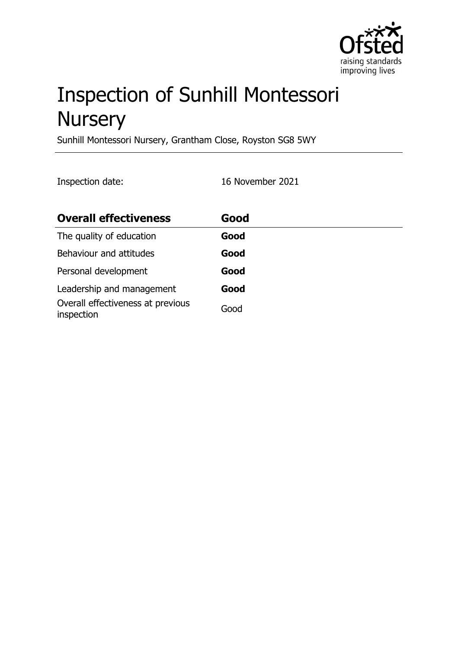

# Inspection of Sunhill Montessori **Nursery**

Sunhill Montessori Nursery, Grantham Close, Royston SG8 5WY

Inspection date: 16 November 2021

| <b>Overall effectiveness</b>                    | Good |
|-------------------------------------------------|------|
| The quality of education                        | Good |
| Behaviour and attitudes                         | Good |
| Personal development                            | Good |
| Leadership and management                       | Good |
| Overall effectiveness at previous<br>inspection | Good |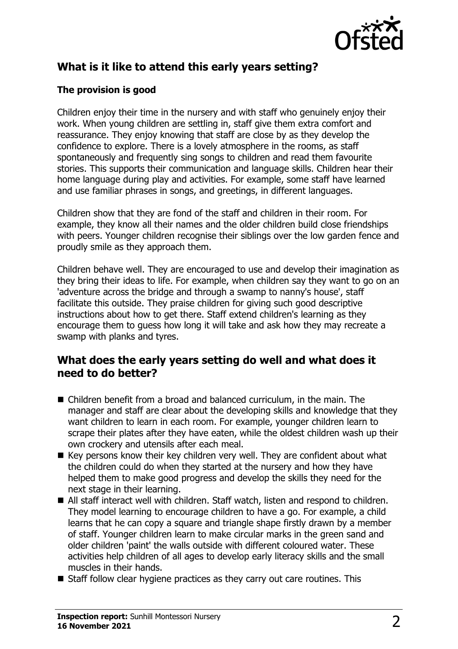

# **What is it like to attend this early years setting?**

#### **The provision is good**

Children enjoy their time in the nursery and with staff who genuinely enjoy their work. When young children are settling in, staff give them extra comfort and reassurance. They enjoy knowing that staff are close by as they develop the confidence to explore. There is a lovely atmosphere in the rooms, as staff spontaneously and frequently sing songs to children and read them favourite stories. This supports their communication and language skills. Children hear their home language during play and activities. For example, some staff have learned and use familiar phrases in songs, and greetings, in different languages.

Children show that they are fond of the staff and children in their room. For example, they know all their names and the older children build close friendships with peers. Younger children recognise their siblings over the low garden fence and proudly smile as they approach them.

Children behave well. They are encouraged to use and develop their imagination as they bring their ideas to life. For example, when children say they want to go on an 'adventure across the bridge and through a swamp to nanny's house', staff facilitate this outside. They praise children for giving such good descriptive instructions about how to get there. Staff extend children's learning as they encourage them to guess how long it will take and ask how they may recreate a swamp with planks and tyres.

#### **What does the early years setting do well and what does it need to do better?**

- Children benefit from a broad and balanced curriculum, in the main. The manager and staff are clear about the developing skills and knowledge that they want children to learn in each room. For example, younger children learn to scrape their plates after they have eaten, while the oldest children wash up their own crockery and utensils after each meal.
- $\blacksquare$  Key persons know their key children very well. They are confident about what the children could do when they started at the nursery and how they have helped them to make good progress and develop the skills they need for the next stage in their learning.
- All staff interact well with children. Staff watch, listen and respond to children. They model learning to encourage children to have a go. For example, a child learns that he can copy a square and triangle shape firstly drawn by a member of staff. Younger children learn to make circular marks in the green sand and older children 'paint' the walls outside with different coloured water. These activities help children of all ages to develop early literacy skills and the small muscles in their hands.
- $\blacksquare$  Staff follow clear hygiene practices as they carry out care routines. This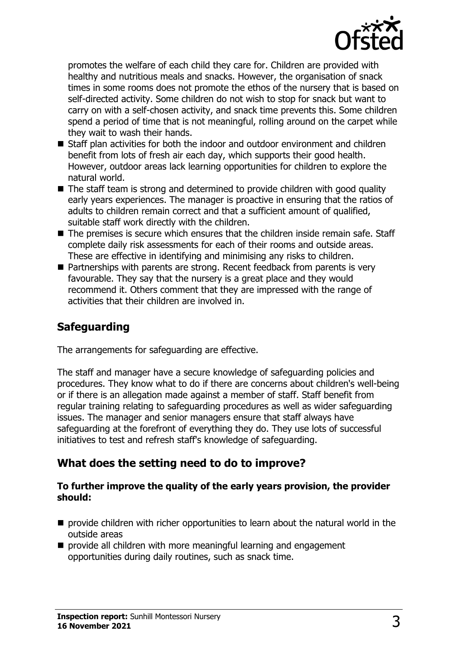

promotes the welfare of each child they care for. Children are provided with healthy and nutritious meals and snacks. However, the organisation of snack times in some rooms does not promote the ethos of the nursery that is based on self-directed activity. Some children do not wish to stop for snack but want to carry on with a self-chosen activity, and snack time prevents this. Some children spend a period of time that is not meaningful, rolling around on the carpet while they wait to wash their hands.

- $\blacksquare$  Staff plan activities for both the indoor and outdoor environment and children benefit from lots of fresh air each day, which supports their good health. However, outdoor areas lack learning opportunities for children to explore the natural world.
- $\blacksquare$  The staff team is strong and determined to provide children with good quality early years experiences. The manager is proactive in ensuring that the ratios of adults to children remain correct and that a sufficient amount of qualified, suitable staff work directly with the children.
- $\blacksquare$  The premises is secure which ensures that the children inside remain safe. Staff complete daily risk assessments for each of their rooms and outside areas. These are effective in identifying and minimising any risks to children.
- $\blacksquare$  Partnerships with parents are strong. Recent feedback from parents is very favourable. They say that the nursery is a great place and they would recommend it. Others comment that they are impressed with the range of activities that their children are involved in.

# **Safeguarding**

The arrangements for safeguarding are effective.

The staff and manager have a secure knowledge of safeguarding policies and procedures. They know what to do if there are concerns about children's well-being or if there is an allegation made against a member of staff. Staff benefit from regular training relating to safeguarding procedures as well as wider safeguarding issues. The manager and senior managers ensure that staff always have safeguarding at the forefront of everything they do. They use lots of successful initiatives to test and refresh staff's knowledge of safeguarding.

## **What does the setting need to do to improve?**

#### **To further improve the quality of the early years provision, the provider should:**

- $\blacksquare$  provide children with richer opportunities to learn about the natural world in the outside areas
- $\blacksquare$  provide all children with more meaningful learning and engagement opportunities during daily routines, such as snack time.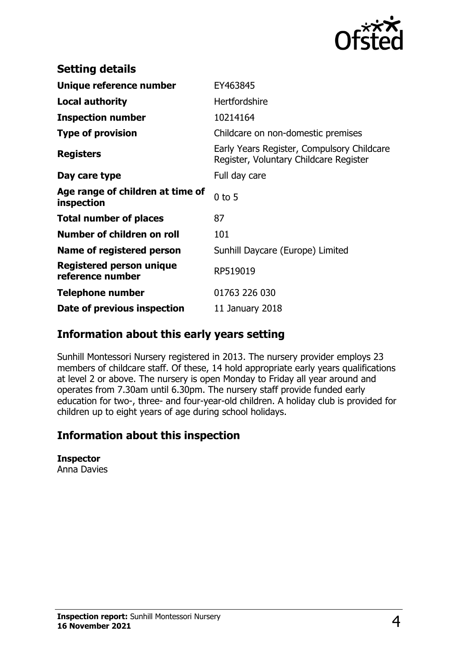

| <b>Setting details</b>                              |                                                                                      |
|-----------------------------------------------------|--------------------------------------------------------------------------------------|
| Unique reference number                             | EY463845                                                                             |
| <b>Local authority</b>                              | <b>Hertfordshire</b>                                                                 |
| <b>Inspection number</b>                            | 10214164                                                                             |
| <b>Type of provision</b>                            | Childcare on non-domestic premises                                                   |
| <b>Registers</b>                                    | Early Years Register, Compulsory Childcare<br>Register, Voluntary Childcare Register |
| Day care type                                       | Full day care                                                                        |
| Age range of children at time of<br>inspection      | $0$ to 5                                                                             |
| <b>Total number of places</b>                       | 87                                                                                   |
| Number of children on roll                          | 101                                                                                  |
| Name of registered person                           | Sunhill Daycare (Europe) Limited                                                     |
| <b>Registered person unique</b><br>reference number | RP519019                                                                             |
| <b>Telephone number</b>                             | 01763 226 030                                                                        |
| Date of previous inspection                         | 11 January 2018                                                                      |

## **Information about this early years setting**

Sunhill Montessori Nursery registered in 2013. The nursery provider employs 23 members of childcare staff. Of these, 14 hold appropriate early years qualifications at level 2 or above. The nursery is open Monday to Friday all year around and operates from 7.30am until 6.30pm. The nursery staff provide funded early education for two-, three- and four-year-old children. A holiday club is provided for children up to eight years of age during school holidays.

## **Information about this inspection**

**Inspector** Anna Davies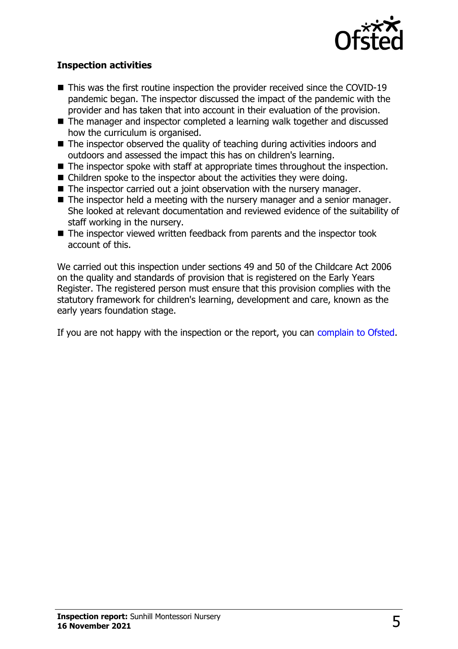

#### **Inspection activities**

- $\blacksquare$  This was the first routine inspection the provider received since the COVID-19 pandemic began. The inspector discussed the impact of the pandemic with the provider and has taken that into account in their evaluation of the provision.
- The manager and inspector completed a learning walk together and discussed how the curriculum is organised.
- $\blacksquare$  The inspector observed the quality of teaching during activities indoors and outdoors and assessed the impact this has on children's learning.
- $\blacksquare$  The inspector spoke with staff at appropriate times throughout the inspection.
- $\blacksquare$  Children spoke to the inspector about the activities they were doing.
- $\blacksquare$  The inspector carried out a joint observation with the nursery manager.
- $\blacksquare$  The inspector held a meeting with the nursery manager and a senior manager. She looked at relevant documentation and reviewed evidence of the suitability of staff working in the nursery.
- $\blacksquare$  The inspector viewed written feedback from parents and the inspector took account of this.

We carried out this inspection under sections 49 and 50 of the Childcare Act 2006 on the quality and standards of provision that is registered on the Early Years Register. The registered person must ensure that this provision complies with the statutory framework for children's learning, development and care, known as the early years foundation stage.

If you are not happy with the inspection or the report, you can [complain to Ofsted](http://www.gov.uk/complain-ofsted-report).